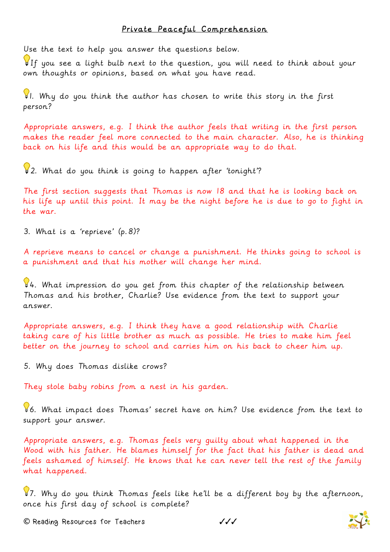## Private Peaceful Comprehension

Use the text to help you answer the questions below.

If you see a light bulb next to the question, you will need to think about your own thoughts or opinions, based on what you have read.

1. Why do you think the author has chosen to write this story in the first person?

Appropriate answers, e.g. I think the author feels that writing in the first person makes the reader feel more connected to the main character. Also, he is thinking back on his life and this would be an appropriate way to do that.

 $2$ . What do you think is going to happen after 'tonight'?

The first section suggests that Thomas is now 18 and that he is looking back on his life up until this point. It may be the night before he is due to go to fight in the war.

3. What is a 'reprieve' (p.8)?

A reprieve means to cancel or change a punishment. He thinks going to school is a punishment and that his mother will change her mind.

 $94.$  What impression do you get from this chapter of the relationship between Thomas and his brother, Charlie? Use evidence from the text to support your answer.

Appropriate answers, e.g. I think they have a good relationship with Charlie taking care of his little brother as much as possible. He tries to make him feel better on the journey to school and carries him on his back to cheer him up.

5. Why does Thomas dislike crows?

They stole baby robins from a nest in his garden.

6. What impact does Thomas' secret have on him? Use evidence from the text to support your answer.

Appropriate answers, e.g. Thomas feels very guilty about what happened in the Wood with his father. He blames himself for the fact that his father is dead and feels ashamed of himself. He knows that he can never tell the rest of the family what happened.

 $\sqrt{37}$ . Why do you think Thomas feels like he'll be a different boy by the afternoon, once his first day of school is complete?

**©** Reading Resources for Teachers ✓✓✓